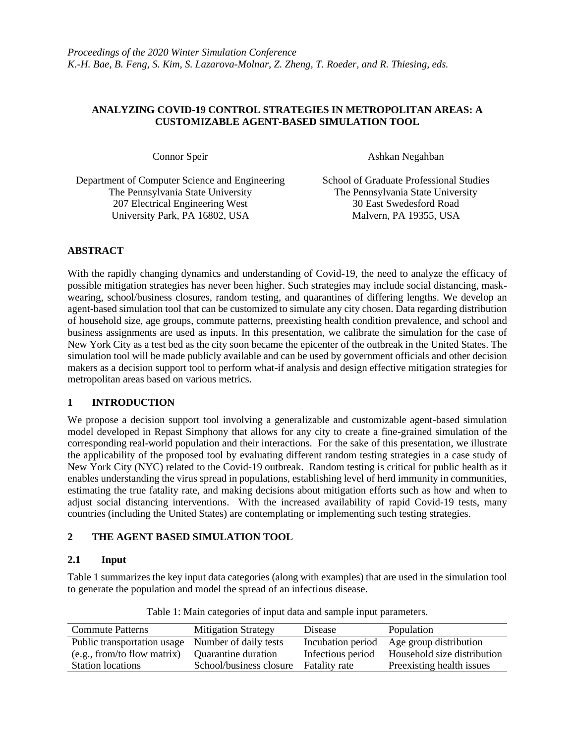#### **ANALYZING COVID-19 CONTROL STRATEGIES IN METROPOLITAN AREAS: A CUSTOMIZABLE AGENT-BASED SIMULATION TOOL**

Connor Speir Ashkan Negahban

Department of Computer Science and Engineering School of Graduate Professional Studies The Pennsylvania State University The Pennsylvania State University 207 Electrical Engineering West University Park, PA 16802, USA

30 East Swedesford Road Malvern, PA 19355, USA

# **ABSTRACT**

With the rapidly changing dynamics and understanding of Covid-19, the need to analyze the efficacy of possible mitigation strategies has never been higher. Such strategies may include social distancing, maskwearing, school/business closures, random testing, and quarantines of differing lengths. We develop an agent-based simulation tool that can be customized to simulate any city chosen. Data regarding distribution of household size, age groups, commute patterns, preexisting health condition prevalence, and school and business assignments are used as inputs. In this presentation, we calibrate the simulation for the case of New York City as a test bed as the city soon became the epicenter of the outbreak in the United States. The simulation tool will be made publicly available and can be used by government officials and other decision makers as a decision support tool to perform what-if analysis and design effective mitigation strategies for metropolitan areas based on various metrics.

## **1 INTRODUCTION**

We propose a decision support tool involving a generalizable and customizable agent-based simulation model developed in Repast Simphony that allows for any city to create a fine-grained simulation of the corresponding real-world population and their interactions. For the sake of this presentation, we illustrate the applicability of the proposed tool by evaluating different random testing strategies in a case study of New York City (NYC) related to the Covid-19 outbreak. Random testing is critical for public health as it enables understanding the virus spread in populations, establishing level of herd immunity in communities, estimating the true fatality rate, and making decisions about mitigation efforts such as how and when to adjust social distancing interventions. With the increased availability of rapid Covid-19 tests, many countries (including the United States) are contemplating or implementing such testing strategies.

# **2 THE AGENT BASED SIMULATION TOOL**

## **2.1 Input**

Table 1 summarizes the key input data categories (along with examples) that are used in the simulation tool to generate the population and model the spread of an infectious disease.

| <b>Commute Patterns</b>                           | <b>Mitigation Strategy</b> | Disease              | Population                               |
|---------------------------------------------------|----------------------------|----------------------|------------------------------------------|
| Public transportation usage Number of daily tests |                            |                      | Incubation period Age group distribution |
| (e.g., from/to flow matrix)                       | Quarantine duration        | Infectious period    | Household size distribution              |
| <b>Station locations</b>                          | School/business closure    | <b>Fatality rate</b> | Preexisting health issues                |

Table 1: Main categories of input data and sample input parameters.